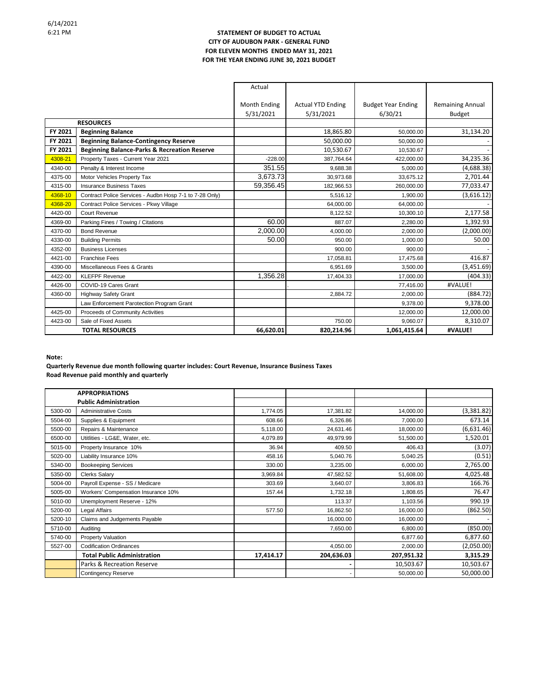## **STATEMENT OF BUDGET TO ACTUAL CITY OF AUDUBON PARK - GENERAL FUND FOR ELEVEN MONTHS ENDED MAY 31, 2021 FOR THE YEAR ENDING JUNE 30, 2021 BUDGET**

|                        |                                                         | Actual                    |                                       |                                      |                                   |
|------------------------|---------------------------------------------------------|---------------------------|---------------------------------------|--------------------------------------|-----------------------------------|
|                        |                                                         | Month Ending<br>5/31/2021 | <b>Actual YTD Ending</b><br>5/31/2021 | <b>Budget Year Ending</b><br>6/30/21 | <b>Remaining Annual</b><br>Budget |
| <b>RESOURCES</b>       |                                                         |                           |                                       |                                      |                                   |
| FY 2021                | <b>Beginning Balance</b>                                |                           | 18,865.80                             | 50,000.00                            | 31,134.20                         |
| FY 2021                | <b>Beginning Balance-Contingency Reserve</b>            |                           | 50,000.00                             | 50,000.00                            |                                   |
| FY 2021                | <b>Beginning Balance-Parks &amp; Recreation Reserve</b> |                           | 10,530.67                             | 10,530.67                            |                                   |
| 4308-21                | Property Taxes - Current Year 2021                      | $-228.00$                 | 387,764.64                            | 422,000.00                           | 34,235.36                         |
| 4340-00                | Penalty & Interest Income                               | 351.55                    | 9.688.38                              | 5.000.00                             | (4,688.38)                        |
| 4375-00                | Motor Vehicles Property Tax                             | 3,673.73                  | 30.973.68                             | 33,675.12                            | 2,701.44                          |
| 4315-00                | <b>Insurance Business Taxes</b>                         | 59.356.45                 | 182,966.53                            | 260,000.00                           | 77,033.47                         |
| 4368-10                | Contract Police Services - Audbn Hosp 7-1 to 7-28 Only) |                           | 5.516.12                              | 1.900.00                             | (3,616.12)                        |
| 4368-20                | Contract Police Services - Pkwy Village                 |                           | 64,000.00                             | 64,000.00                            |                                   |
| 4420-00                | Court Revenue                                           |                           | 8,122.52                              | 10.300.10                            | 2,177.58                          |
| 4369-00                | Parking Fines / Towing / Citations                      | 60.00                     | 887.07                                | 2.280.00                             | 1,392.93                          |
| 4370-00                | <b>Bond Revenue</b>                                     | 2,000.00                  | 4,000.00                              | 2,000.00                             | (2,000.00)                        |
| 4330-00                | <b>Building Permits</b>                                 | 50.00                     | 950.00                                | 1,000.00                             | 50.00                             |
| 4352-00                | <b>Business Licenses</b>                                |                           | 900.00                                | 900.00                               |                                   |
| 4421-00                | <b>Franchise Fees</b>                                   |                           | 17,058.81                             | 17,475.68                            | 416.87                            |
| 4390-00                | Miscellaneous Fees & Grants                             |                           | 6.951.69                              | 3,500.00                             | (3,451.69)                        |
| 4422-00                | <b>KLEFPF Revenue</b>                                   | 1,356.28                  | 17,404.33                             | 17,000.00                            | (404.33)                          |
| 4426-00                | COVID-19 Cares Grant                                    |                           |                                       | 77,416.00                            | #VALUE!                           |
| 4360-00                | <b>Highway Safety Grant</b>                             |                           | 2,884.72                              | 2,000.00                             | (884.72)                          |
|                        | Law Enforcement Parotection Program Grant               |                           |                                       | 9,378.00                             | 9,378.00                          |
| 4425-00                | Proceeds of Community Activities                        |                           |                                       | 12,000.00                            | 12,000.00                         |
| 4423-00                | Sale of Fixed Assets                                    |                           | 750.00                                | 9,060.07                             | 8,310.07                          |
| <b>TOTAL RESOURCES</b> |                                                         | 66,620.01                 | 820,214.96                            | 1,061,415.64                         | #VALUE!                           |

**Note:**

**Quarterly Revenue due month following quarter includes: Court Revenue, Insurance Business Taxes Road Revenue paid monthly and quarterly**

|         | <b>APPROPRIATIONS</b>               |           |            |            |            |
|---------|-------------------------------------|-----------|------------|------------|------------|
|         | <b>Public Administration</b>        |           |            |            |            |
| 5300-00 | <b>Administrative Costs</b>         | 1,774.05  | 17,381.82  | 14,000.00  | (3,381.82) |
| 5504-00 | Supplies & Equipment                | 608.66    | 6,326.86   | 7,000.00   | 673.14     |
| 5500-00 | Repairs & Maintenance               | 5,118.00  | 24,631.46  | 18,000.00  | (6,631.46) |
| 6500-00 | Utitlities - LG&E, Water, etc.      | 4,079.89  | 49,979.99  | 51,500.00  | 1,520.01   |
| 5015-00 | Property Insurance 10%              | 36.94     | 409.50     | 406.43     | (3.07)     |
| 5020-00 | Liability Insurance 10%             | 458.16    | 5,040.76   | 5,040.25   | (0.51)     |
| 5340-00 | <b>Bookeeping Services</b>          | 330.00    | 3,235.00   | 6,000.00   | 2,765.00   |
| 5350-00 | <b>Clerks Salary</b>                | 3,969.84  | 47,582.52  | 51,608.00  | 4,025.48   |
| 5004-00 | Payroll Expense - SS / Medicare     | 303.69    | 3,640.07   | 3,806.83   | 166.76     |
| 5005-00 | Workers' Compensation Insurance 10% | 157.44    | 1,732.18   | 1,808.65   | 76.47      |
| 5010-00 | Unemployment Reserve - 12%          |           | 113.37     | 1,103.56   | 990.19     |
| 5200-00 | Legal Affairs                       | 577.50    | 16,862.50  | 16,000.00  | (862.50)   |
| 5200-10 | Claims and Judgements Payable       |           | 16,000.00  | 16,000.00  |            |
| 5710-00 | Auditing                            |           | 7,650.00   | 6,800.00   | (850.00)   |
| 5740-00 | <b>Property Valuation</b>           |           |            | 6,877.60   | 6,877.60   |
| 5527-00 | <b>Codification Ordinances</b>      |           | 4,050.00   | 2,000.00   | (2,050.00) |
|         | <b>Total Public Administration</b>  | 17,414.17 | 204,636.03 | 207,951.32 | 3,315.29   |
|         | Parks & Recreation Reserve          |           |            | 10,503.67  | 10,503.67  |
|         | <b>Contingency Reserve</b>          |           |            | 50,000.00  | 50,000.00  |